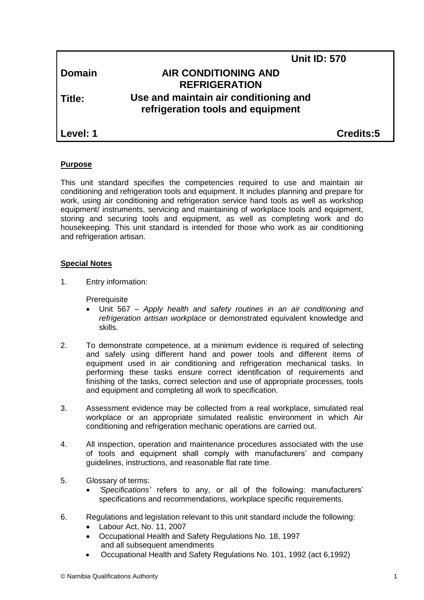| <b>Domain</b> |
|---------------|
|---------------|

# **Unit ID: 570 Domain AIR CONDITIONING AND REFRIGERATION Title: Use and maintain air conditioning and refrigeration tools and equipment**

**Level: 1 Credits:5**

# **Purpose**

This unit standard specifies the competencies required to use and maintain air conditioning and refrigeration tools and equipment. It includes planning and prepare for work, using air conditioning and refrigeration service hand tools as well as workshop equipment/ instruments, servicing and maintaining of workplace tools and equipment, storing and securing tools and equipment, as well as completing work and do housekeeping*.* This unit standard is intended for those who work as air conditioning and refrigeration artisan.

## **Special Notes**

1. Entry information:

**Prerequisite** 

- Unit 567 *– Apply health and safety routines in an air conditioning and refrigeration artisan workplace* or demonstrated equivalent knowledge and skills.
- 2. To demonstrate competence, at a minimum evidence is required of selecting and safely using different hand and power tools and different items of equipment used in air conditioning and refrigeration mechanical tasks. In performing these tasks ensure correct identification of requirements and finishing of the tasks, correct selection and use of appropriate processes, tools and equipment and completing all work to specification.
- 3. Assessment evidence may be collected from a real workplace, simulated real workplace or an appropriate simulated realistic environment in which Air conditioning and refrigeration mechanic operations are carried out.
- 4. All inspection, operation and maintenance procedures associated with the use of tools and equipment shall comply with manufacturers' and company guidelines, instructions, and reasonable flat rate time.
- 5. Glossary of terms:
	- *'Specifications'* refers to any, or all of the following: manufacturers' specifications and recommendations, workplace specific requirements.
- 6. Regulations and legislation relevant to this unit standard include the following:
	- Labour Act, No. 11, 2007
	- Occupational Health and Safety Regulations No. 18, 1997 and all subsequent amendments
	- Occupational Health and Safety Regulations No. 101, 1992 (act 6,1992)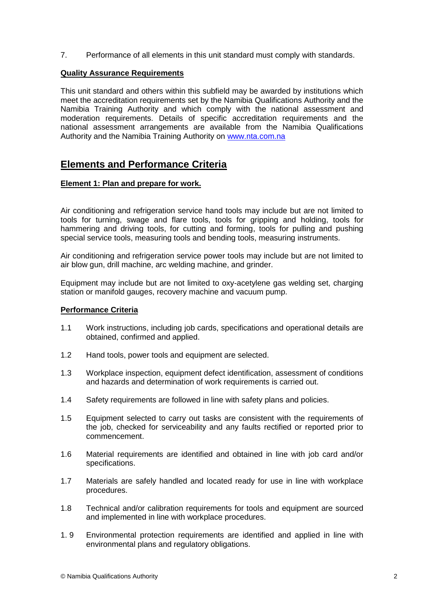7. Performance of all elements in this unit standard must comply with standards.

### **Quality Assurance Requirements**

This unit standard and others within this subfield may be awarded by institutions which meet the accreditation requirements set by the Namibia Qualifications Authority and the Namibia Training Authority and which comply with the national assessment and moderation requirements. Details of specific accreditation requirements and the national assessment arrangements are available from the Namibia Qualifications Authority and the Namibia Training Authority on [www.nta.com.na](http://www.nta.com.na/)

# **Elements and Performance Criteria**

### **Element 1: Plan and prepare for work.**

Air conditioning and refrigeration service hand tools may include but are not limited to tools for turning, swage and flare tools, tools for gripping and holding, tools for hammering and driving tools, for cutting and forming, tools for pulling and pushing special service tools, measuring tools and bending tools, measuring instruments.

Air conditioning and refrigeration service power tools may include but are not limited to air blow gun, drill machine, arc welding machine, and grinder.

Equipment may include but are not limited to oxy-acetylene gas welding set, charging station or manifold gauges, recovery machine and vacuum pump.

#### **Performance Criteria**

- 1.1 Work instructions, including job cards, specifications and operational details are obtained, confirmed and applied.
- 1.2 Hand tools, power tools and equipment are selected.
- 1.3 Workplace inspection, equipment defect identification, assessment of conditions and hazards and determination of work requirements is carried out.
- 1.4 Safety requirements are followed in line with safety plans and policies.
- 1.5 Equipment selected to carry out tasks are consistent with the requirements of the job, checked for serviceability and any faults rectified or reported prior to commencement.
- 1.6 Material requirements are identified and obtained in line with job card and/or specifications.
- 1.7 Materials are safely handled and located ready for use in line with workplace procedures.
- 1.8 Technical and/or calibration requirements for tools and equipment are sourced and implemented in line with workplace procedures.
- 1. 9 Environmental protection requirements are identified and applied in line with environmental plans and regulatory obligations.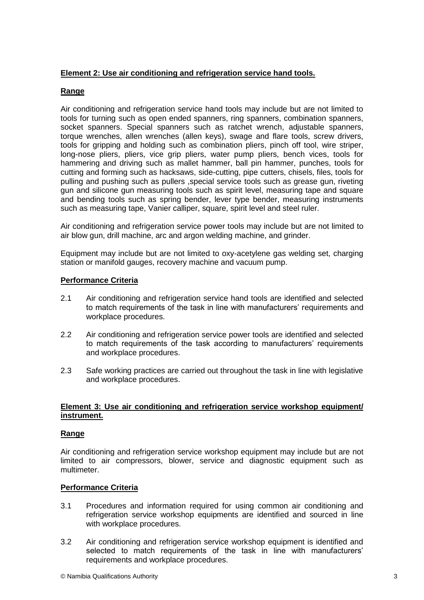## **Element 2: Use air conditioning and refrigeration service hand tools.**

## **Range**

Air conditioning and refrigeration service hand tools may include but are not limited to tools for turning such as open ended spanners, ring spanners, combination spanners, socket spanners. Special spanners such as ratchet wrench, adjustable spanners, torque wrenches, allen wrenches (allen keys), swage and flare tools, screw drivers, tools for gripping and holding such as combination pliers, pinch off tool, wire striper, long-nose pliers, pliers, vice grip pliers, water pump pliers, bench vices, tools for hammering and driving such as mallet hammer, ball pin hammer, punches, tools for cutting and forming such as hacksaws, side-cutting, pipe cutters, chisels, files, tools for pulling and pushing such as pullers ,special service tools such as grease gun, riveting gun and silicone gun measuring tools such as spirit level, measuring tape and square and bending tools such as spring bender, lever type bender, measuring instruments such as measuring tape, Vanier calliper, square, spirit level and steel ruler.

Air conditioning and refrigeration service power tools may include but are not limited to air blow gun, drill machine, arc and argon welding machine, and grinder.

Equipment may include but are not limited to oxy-acetylene gas welding set, charging station or manifold gauges, recovery machine and vacuum pump.

### **Performance Criteria**

- 2.1 Air conditioning and refrigeration service hand tools are identified and selected to match requirements of the task in line with manufacturers' requirements and workplace procedures.
- 2.2 Air conditioning and refrigeration service power tools are identified and selected to match requirements of the task according to manufacturers' requirements and workplace procedures.
- 2.3 Safe working practices are carried out throughout the task in line with legislative and workplace procedures.

### **Element 3: Use air conditioning and refrigeration service workshop equipment/ instrument.**

#### **Range**

Air conditioning and refrigeration service workshop equipment may include but are not limited to air compressors, blower, service and diagnostic equipment such as multimeter.

## **Performance Criteria**

- 3.1 Procedures and information required for using common air conditioning and refrigeration service workshop equipments are identified and sourced in line with workplace procedures.
- 3.2 Air conditioning and refrigeration service workshop equipment is identified and selected to match requirements of the task in line with manufacturers' requirements and workplace procedures.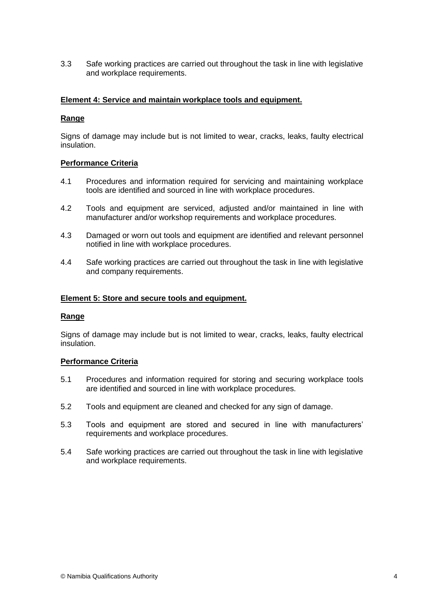3.3 Safe working practices are carried out throughout the task in line with legislative and workplace requirements.

### **Element 4: Service and maintain workplace tools and equipment.**

### **Range**

Signs of damage may include but is not limited to wear, cracks, leaks, faulty electrical insulation.

### **Performance Criteria**

- 4.1 Procedures and information required for servicing and maintaining workplace tools are identified and sourced in line with workplace procedures.
- 4.2 Tools and equipment are serviced, adjusted and/or maintained in line with manufacturer and/or workshop requirements and workplace procedures.
- 4.3 Damaged or worn out tools and equipment are identified and relevant personnel notified in line with workplace procedures.
- 4.4 Safe working practices are carried out throughout the task in line with legislative and company requirements.

#### **Element 5: Store and secure tools and equipment.**

#### **Range**

Signs of damage may include but is not limited to wear, cracks, leaks, faulty electrical insulation.

#### **Performance Criteria**

- 5.1 Procedures and information required for storing and securing workplace tools are identified and sourced in line with workplace procedures.
- 5.2 Tools and equipment are cleaned and checked for any sign of damage.
- 5.3 Tools and equipment are stored and secured in line with manufacturers' requirements and workplace procedures.
- 5.4 Safe working practices are carried out throughout the task in line with legislative and workplace requirements.